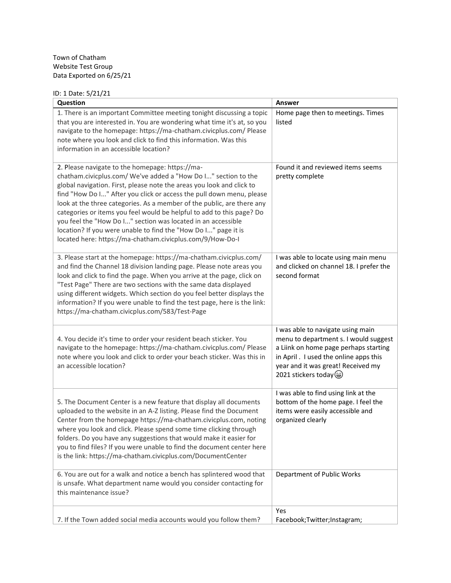#### Town of Chatham Website Test Group Data Exported on 6/25/21

# ID: 1 Date: 5/21/21

| Question                                                                                                                                                                                                                                                                                                                                                                                                                                                                                                                                                                                                             | Answer                                                                                                                                                                                                                         |
|----------------------------------------------------------------------------------------------------------------------------------------------------------------------------------------------------------------------------------------------------------------------------------------------------------------------------------------------------------------------------------------------------------------------------------------------------------------------------------------------------------------------------------------------------------------------------------------------------------------------|--------------------------------------------------------------------------------------------------------------------------------------------------------------------------------------------------------------------------------|
| 1. There is an important Committee meeting tonight discussing a topic<br>that you are interested in. You are wondering what time it's at, so you<br>navigate to the homepage: https://ma-chatham.civicplus.com/ Please<br>note where you look and click to find this information. Was this<br>information in an accessible location?                                                                                                                                                                                                                                                                                 | Home page then to meetings. Times<br>listed                                                                                                                                                                                    |
| 2. Please navigate to the homepage: https://ma-<br>chatham.civicplus.com/ We've added a "How Do I" section to the<br>global navigation. First, please note the areas you look and click to<br>find "How Do I" After you click or access the pull down menu, please<br>look at the three categories. As a member of the public, are there any<br>categories or items you feel would be helpful to add to this page? Do<br>you feel the "How Do I" section was located in an accessible<br>location? If you were unable to find the "How Do I" page it is<br>located here: https://ma-chatham.civicplus.com/9/How-Do-I | Found it and reviewed items seems<br>pretty complete                                                                                                                                                                           |
| 3. Please start at the homepage: https://ma-chatham.civicplus.com/<br>and find the Channel 18 division landing page. Please note areas you<br>look and click to find the page. When you arrive at the page, click on<br>"Test Page" There are two sections with the same data displayed<br>using different widgets. Which section do you feel better displays the<br>information? If you were unable to find the test page, here is the link:<br>https://ma-chatham.civicplus.com/583/Test-Page                                                                                                                      | I was able to locate using main menu<br>and clicked on channel 18. I prefer the<br>second format                                                                                                                               |
| 4. You decide it's time to order your resident beach sticker. You<br>navigate to the homepage: https://ma-chatham.civicplus.com/ Please<br>note where you look and click to order your beach sticker. Was this in<br>an accessible location?                                                                                                                                                                                                                                                                                                                                                                         | I was able to navigate using main<br>menu to department s. I would suggest<br>a Liink on home page perhaps starting<br>in April . I used the online apps this<br>year and it was great! Received my<br>2021 stickers today (a) |
| 5. The Document Center is a new feature that display all documents<br>uploaded to the website in an A-Z listing. Please find the Document<br>Center from the homepage https://ma-chatham.civicplus.com, noting<br>where you look and click. Please spend some time clicking through<br>folders. Do you have any suggestions that would make it easier for<br>you to find files? If you were unable to find the document center here<br>is the link: https://ma-chatham.civicplus.com/DocumentCenter                                                                                                                  | I was able to find using link at the<br>bottom of the home page. I feel the<br>items were easily accessible and<br>organized clearly                                                                                           |
| 6. You are out for a walk and notice a bench has splintered wood that<br>is unsafe. What department name would you consider contacting for<br>this maintenance issue?                                                                                                                                                                                                                                                                                                                                                                                                                                                | Department of Public Works                                                                                                                                                                                                     |
| 7. If the Town added social media accounts would you follow them?                                                                                                                                                                                                                                                                                                                                                                                                                                                                                                                                                    | Yes<br>Facebook;Twitter;Instagram;                                                                                                                                                                                             |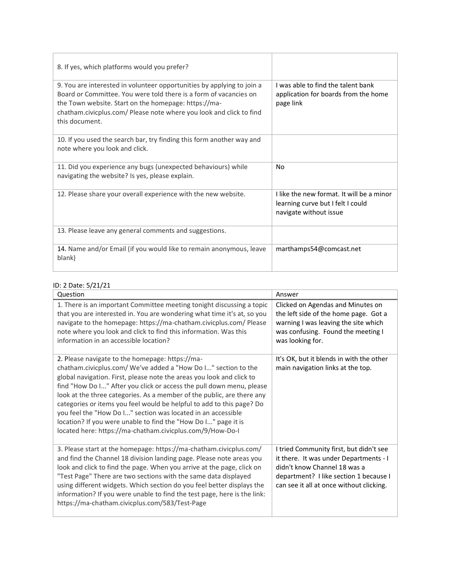| 8. If yes, which platforms would you prefer?                                                                                                                                                                                                                                                 |                                                                                                          |
|----------------------------------------------------------------------------------------------------------------------------------------------------------------------------------------------------------------------------------------------------------------------------------------------|----------------------------------------------------------------------------------------------------------|
| 9. You are interested in volunteer opportunities by applying to join a<br>Board or Committee. You were told there is a form of vacancies on<br>the Town website. Start on the homepage: https://ma-<br>chatham.civicplus.com/ Please note where you look and click to find<br>this document. | I was able to find the talent bank<br>application for boards from the home<br>page link                  |
| 10. If you used the search bar, try finding this form another way and<br>note where you look and click.                                                                                                                                                                                      |                                                                                                          |
| 11. Did you experience any bugs (unexpected behaviours) while<br>navigating the website? Is yes, please explain.                                                                                                                                                                             | No                                                                                                       |
| 12. Please share your overall experience with the new website.                                                                                                                                                                                                                               | I like the new format. It will be a minor<br>learning curve but I felt I could<br>navigate without issue |
| 13. Please leave any general comments and suggestions.                                                                                                                                                                                                                                       |                                                                                                          |
| 14. Name and/or Email (if you would like to remain anonymous, leave<br>blank)                                                                                                                                                                                                                | marthamps54@comcast.net                                                                                  |

### ID: 2 Date: 5/21/21

| Question                                                                                                                                                                                                                                                                                                                                                                                                                                                                                                                                                                                                             | Answer                                                                                                                                                                                                  |
|----------------------------------------------------------------------------------------------------------------------------------------------------------------------------------------------------------------------------------------------------------------------------------------------------------------------------------------------------------------------------------------------------------------------------------------------------------------------------------------------------------------------------------------------------------------------------------------------------------------------|---------------------------------------------------------------------------------------------------------------------------------------------------------------------------------------------------------|
| 1. There is an important Committee meeting tonight discussing a topic<br>that you are interested in. You are wondering what time it's at, so you<br>navigate to the homepage: https://ma-chatham.civicplus.com/ Please<br>note where you look and click to find this information. Was this<br>information in an accessible location?                                                                                                                                                                                                                                                                                 | Clicked on Agendas and Minutes on<br>the left side of the home page. Got a<br>warning I was leaving the site which<br>was confusing. Found the meeting I<br>was looking for.                            |
| 2. Please navigate to the homepage: https://ma-<br>chatham.civicplus.com/ We've added a "How Do I" section to the<br>global navigation. First, please note the areas you look and click to<br>find "How Do I" After you click or access the pull down menu, please<br>look at the three categories. As a member of the public, are there any<br>categories or items you feel would be helpful to add to this page? Do<br>you feel the "How Do I" section was located in an accessible<br>location? If you were unable to find the "How Do I" page it is<br>located here: https://ma-chatham.civicplus.com/9/How-Do-I | It's OK, but it blends in with the other<br>main navigation links at the top.                                                                                                                           |
| 3. Please start at the homepage: https://ma-chatham.civicplus.com/<br>and find the Channel 18 division landing page. Please note areas you<br>look and click to find the page. When you arrive at the page, click on<br>"Test Page" There are two sections with the same data displayed<br>using different widgets. Which section do you feel better displays the<br>information? If you were unable to find the test page, here is the link:<br>https://ma-chatham.civicplus.com/583/Test-Page                                                                                                                      | I tried Community first, but didn't see<br>it there. It was under Departments - I<br>didn't know Channel 18 was a<br>department? I like section 1 because I<br>can see it all at once without clicking. |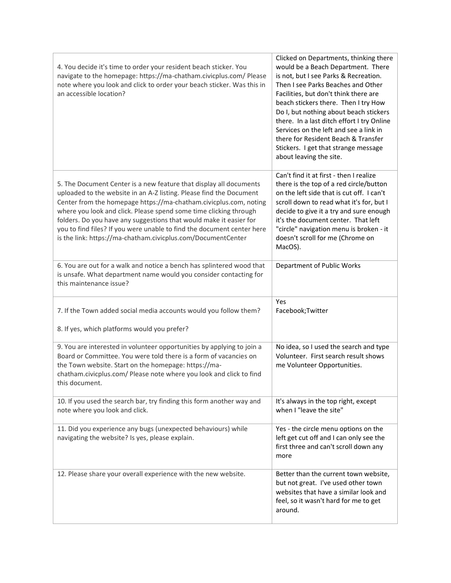| 4. You decide it's time to order your resident beach sticker. You<br>navigate to the homepage: https://ma-chatham.civicplus.com/ Please<br>note where you look and click to order your beach sticker. Was this in<br>an accessible location?                                                                                                                                                                                                                                                        | Clicked on Departments, thinking there<br>would be a Beach Department. There<br>is not, but I see Parks & Recreation.<br>Then I see Parks Beaches and Other<br>Facilities, but don't think there are<br>beach stickers there. Then I try How<br>Do I, but nothing about beach stickers<br>there. In a last ditch effort I try Online<br>Services on the left and see a link in<br>there for Resident Beach & Transfer<br>Stickers. I get that strange message<br>about leaving the site. |
|-----------------------------------------------------------------------------------------------------------------------------------------------------------------------------------------------------------------------------------------------------------------------------------------------------------------------------------------------------------------------------------------------------------------------------------------------------------------------------------------------------|------------------------------------------------------------------------------------------------------------------------------------------------------------------------------------------------------------------------------------------------------------------------------------------------------------------------------------------------------------------------------------------------------------------------------------------------------------------------------------------|
| 5. The Document Center is a new feature that display all documents<br>uploaded to the website in an A-Z listing. Please find the Document<br>Center from the homepage https://ma-chatham.civicplus.com, noting<br>where you look and click. Please spend some time clicking through<br>folders. Do you have any suggestions that would make it easier for<br>you to find files? If you were unable to find the document center here<br>is the link: https://ma-chatham.civicplus.com/DocumentCenter | Can't find it at first - then I realize<br>there is the top of a red circle/button<br>on the left side that is cut off. I can't<br>scroll down to read what it's for, but I<br>decide to give it a try and sure enough<br>it's the document center. That left<br>"circle" navigation menu is broken - it<br>doesn't scroll for me (Chrome on<br>MacOS).                                                                                                                                  |
| 6. You are out for a walk and notice a bench has splintered wood that<br>is unsafe. What department name would you consider contacting for<br>this maintenance issue?                                                                                                                                                                                                                                                                                                                               | Department of Public Works                                                                                                                                                                                                                                                                                                                                                                                                                                                               |
| 7. If the Town added social media accounts would you follow them?<br>8. If yes, which platforms would you prefer?                                                                                                                                                                                                                                                                                                                                                                                   | Yes<br>Facebook; Twitter                                                                                                                                                                                                                                                                                                                                                                                                                                                                 |
| 9. You are interested in volunteer opportunities by applying to join a<br>Board or Committee. You were told there is a form of vacancies on<br>the Town website. Start on the homepage: https://ma-<br>chatham.civicplus.com/ Please note where you look and click to find<br>this document.                                                                                                                                                                                                        | No idea, so I used the search and type<br>Volunteer. First search result shows<br>me Volunteer Opportunities.                                                                                                                                                                                                                                                                                                                                                                            |
| 10. If you used the search bar, try finding this form another way and<br>note where you look and click.                                                                                                                                                                                                                                                                                                                                                                                             | It's always in the top right, except<br>when I "leave the site"                                                                                                                                                                                                                                                                                                                                                                                                                          |
| 11. Did you experience any bugs (unexpected behaviours) while<br>navigating the website? Is yes, please explain.                                                                                                                                                                                                                                                                                                                                                                                    | Yes - the circle menu options on the<br>left get cut off and I can only see the<br>first three and can't scroll down any<br>more                                                                                                                                                                                                                                                                                                                                                         |
| 12. Please share your overall experience with the new website.                                                                                                                                                                                                                                                                                                                                                                                                                                      | Better than the current town website,<br>but not great. I've used other town<br>websites that have a similar look and<br>feel, so it wasn't hard for me to get<br>around.                                                                                                                                                                                                                                                                                                                |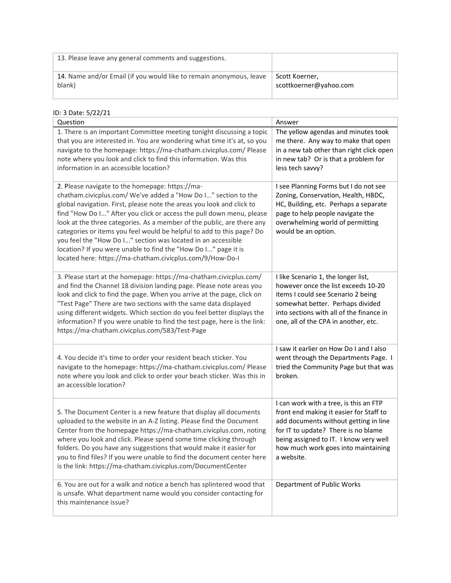| 13. Please leave any general comments and suggestions.              |                        |
|---------------------------------------------------------------------|------------------------|
| 14. Name and/or Email (if you would like to remain anonymous, leave | Scott Koerner,         |
| blank)                                                              | scottkoerner@yahoo.com |

#### ID: 3 Date: 5/22/21

| 0. J DULC. JI 44 4                                                                                                                                                                                                                                                                                                                                                                                                                                                                                                                                                                                                   |                                                                                                                                                                                                                                                                  |
|----------------------------------------------------------------------------------------------------------------------------------------------------------------------------------------------------------------------------------------------------------------------------------------------------------------------------------------------------------------------------------------------------------------------------------------------------------------------------------------------------------------------------------------------------------------------------------------------------------------------|------------------------------------------------------------------------------------------------------------------------------------------------------------------------------------------------------------------------------------------------------------------|
| Question                                                                                                                                                                                                                                                                                                                                                                                                                                                                                                                                                                                                             | Answer                                                                                                                                                                                                                                                           |
| 1. There is an important Committee meeting tonight discussing a topic<br>that you are interested in. You are wondering what time it's at, so you<br>navigate to the homepage: https://ma-chatham.civicplus.com/ Please<br>note where you look and click to find this information. Was this<br>information in an accessible location?                                                                                                                                                                                                                                                                                 | The yellow agendas and minutes took<br>me there. Any way to make that open<br>in a new tab other than right click open<br>in new tab? Or is that a problem for<br>less tech savvy?                                                                               |
| 2. Please navigate to the homepage: https://ma-<br>chatham.civicplus.com/ We've added a "How Do I" section to the<br>global navigation. First, please note the areas you look and click to<br>find "How Do I" After you click or access the pull down menu, please<br>look at the three categories. As a member of the public, are there any<br>categories or items you feel would be helpful to add to this page? Do<br>you feel the "How Do I" section was located in an accessible<br>location? If you were unable to find the "How Do I" page it is<br>located here: https://ma-chatham.civicplus.com/9/How-Do-I | I see Planning Forms but I do not see<br>Zoning, Conservation, Health, HBDC,<br>HC, Building, etc. Perhaps a separate<br>page to help people navigate the<br>overwhelming world of permitting<br>would be an option.                                             |
| 3. Please start at the homepage: https://ma-chatham.civicplus.com/<br>and find the Channel 18 division landing page. Please note areas you<br>look and click to find the page. When you arrive at the page, click on<br>"Test Page" There are two sections with the same data displayed<br>using different widgets. Which section do you feel better displays the<br>information? If you were unable to find the test page, here is the link:<br>https://ma-chatham.civicplus.com/583/Test-Page                                                                                                                      | I like Scenario 1, the longer list,<br>however once the list exceeds 10-20<br>items I could see Scenario 2 being<br>somewhat better. Perhaps divided<br>into sections with all of the finance in<br>one, all of the CPA in another, etc.                         |
| 4. You decide it's time to order your resident beach sticker. You<br>navigate to the homepage: https://ma-chatham.civicplus.com/ Please<br>note where you look and click to order your beach sticker. Was this in<br>an accessible location?                                                                                                                                                                                                                                                                                                                                                                         | I saw it earlier on How Do I and I also<br>went through the Departments Page. I<br>tried the Community Page but that was<br>broken.                                                                                                                              |
| 5. The Document Center is a new feature that display all documents<br>uploaded to the website in an A-Z listing. Please find the Document<br>Center from the homepage https://ma-chatham.civicplus.com, noting<br>where you look and click. Please spend some time clicking through<br>folders. Do you have any suggestions that would make it easier for<br>you to find files? If you were unable to find the document center here<br>is the link: https://ma-chatham.civicplus.com/DocumentCenter                                                                                                                  | I can work with a tree, is this an FTP<br>front end making it easier for Staff to<br>add documents without getting in line<br>for IT to update? There is no blame<br>being assigned to IT. I know very well<br>how much work goes into maintaining<br>a website. |
| 6. You are out for a walk and notice a bench has splintered wood that<br>is unsafe. What department name would you consider contacting for<br>this maintenance issue?                                                                                                                                                                                                                                                                                                                                                                                                                                                | Department of Public Works                                                                                                                                                                                                                                       |
|                                                                                                                                                                                                                                                                                                                                                                                                                                                                                                                                                                                                                      |                                                                                                                                                                                                                                                                  |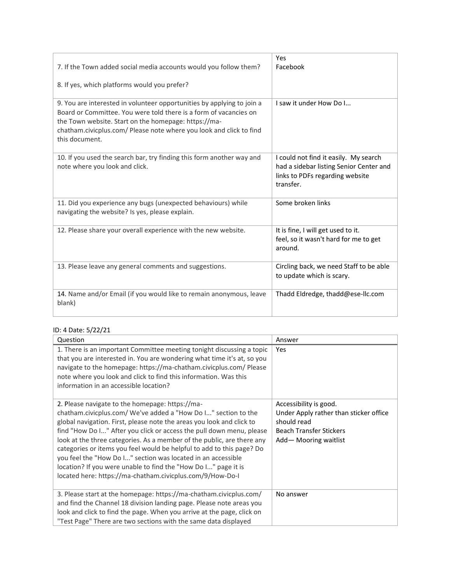| 7. If the Town added social media accounts would you follow them?<br>8. If yes, which platforms would you prefer?                                                                                                                                                                            | Yes<br>Facebook                                                                                                                  |
|----------------------------------------------------------------------------------------------------------------------------------------------------------------------------------------------------------------------------------------------------------------------------------------------|----------------------------------------------------------------------------------------------------------------------------------|
| 9. You are interested in volunteer opportunities by applying to join a<br>Board or Committee. You were told there is a form of vacancies on<br>the Town website. Start on the homepage: https://ma-<br>chatham.civicplus.com/ Please note where you look and click to find<br>this document. | I saw it under How Do I                                                                                                          |
| 10. If you used the search bar, try finding this form another way and<br>note where you look and click.                                                                                                                                                                                      | I could not find it easily. My search<br>had a sidebar listing Senior Center and<br>links to PDFs regarding website<br>transfer. |
| 11. Did you experience any bugs (unexpected behaviours) while<br>navigating the website? Is yes, please explain.                                                                                                                                                                             | Some broken links                                                                                                                |
| 12. Please share your overall experience with the new website.                                                                                                                                                                                                                               | It is fine, I will get used to it.<br>feel, so it wasn't hard for me to get<br>around.                                           |
| 13. Please leave any general comments and suggestions.                                                                                                                                                                                                                                       | Circling back, we need Staff to be able<br>to update which is scary.                                                             |
| 14. Name and/or Email (if you would like to remain anonymous, leave<br>blank)                                                                                                                                                                                                                | Thadd Eldredge, thadd@ese-llc.com                                                                                                |

# ID: 4 Date: 5/22/21

| Question                                                                                                                                                                                                                                                                                                                                                                                                                                                                                                                                                                                                             | Answer                                                                                                                                    |
|----------------------------------------------------------------------------------------------------------------------------------------------------------------------------------------------------------------------------------------------------------------------------------------------------------------------------------------------------------------------------------------------------------------------------------------------------------------------------------------------------------------------------------------------------------------------------------------------------------------------|-------------------------------------------------------------------------------------------------------------------------------------------|
| 1. There is an important Committee meeting tonight discussing a topic<br>that you are interested in. You are wondering what time it's at, so you<br>navigate to the homepage: https://ma-chatham.civicplus.com/ Please<br>note where you look and click to find this information. Was this<br>information in an accessible location?                                                                                                                                                                                                                                                                                 | Yes                                                                                                                                       |
| 2. Please navigate to the homepage: https://ma-<br>chatham.civicplus.com/ We've added a "How Do I" section to the<br>global navigation. First, please note the areas you look and click to<br>find "How Do I" After you click or access the pull down menu, please<br>look at the three categories. As a member of the public, are there any<br>categories or items you feel would be helpful to add to this page? Do<br>you feel the "How Do I" section was located in an accessible<br>location? If you were unable to find the "How Do I" page it is<br>located here: https://ma-chatham.civicplus.com/9/How-Do-I | Accessibility is good.<br>Under Apply rather than sticker office<br>should read<br><b>Beach Transfer Stickers</b><br>Add-Mooring waitlist |
| 3. Please start at the homepage: https://ma-chatham.civicplus.com/<br>and find the Channel 18 division landing page. Please note areas you                                                                                                                                                                                                                                                                                                                                                                                                                                                                           | No answer                                                                                                                                 |
| look and click to find the page. When you arrive at the page, click on                                                                                                                                                                                                                                                                                                                                                                                                                                                                                                                                               |                                                                                                                                           |
| "Test Page" There are two sections with the same data displayed                                                                                                                                                                                                                                                                                                                                                                                                                                                                                                                                                      |                                                                                                                                           |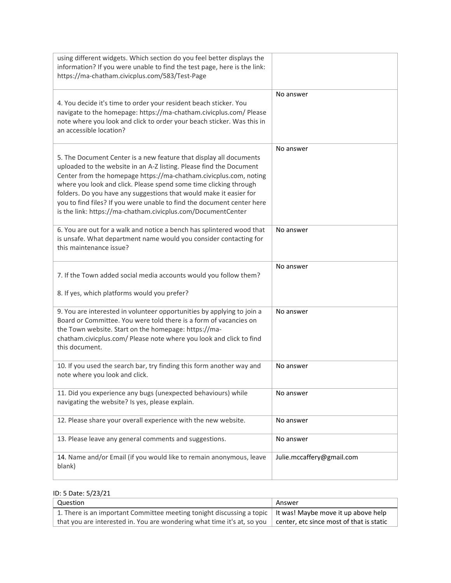| using different widgets. Which section do you feel better displays the<br>information? If you were unable to find the test page, here is the link:<br>https://ma-chatham.civicplus.com/583/Test-Page                                                                                                                                                                                                                                                                                                |                           |
|-----------------------------------------------------------------------------------------------------------------------------------------------------------------------------------------------------------------------------------------------------------------------------------------------------------------------------------------------------------------------------------------------------------------------------------------------------------------------------------------------------|---------------------------|
| 4. You decide it's time to order your resident beach sticker. You<br>navigate to the homepage: https://ma-chatham.civicplus.com/ Please<br>note where you look and click to order your beach sticker. Was this in<br>an accessible location?                                                                                                                                                                                                                                                        | No answer                 |
| 5. The Document Center is a new feature that display all documents<br>uploaded to the website in an A-Z listing. Please find the Document<br>Center from the homepage https://ma-chatham.civicplus.com, noting<br>where you look and click. Please spend some time clicking through<br>folders. Do you have any suggestions that would make it easier for<br>you to find files? If you were unable to find the document center here<br>is the link: https://ma-chatham.civicplus.com/DocumentCenter | No answer                 |
| 6. You are out for a walk and notice a bench has splintered wood that<br>is unsafe. What department name would you consider contacting for<br>this maintenance issue?                                                                                                                                                                                                                                                                                                                               | No answer                 |
| 7. If the Town added social media accounts would you follow them?<br>8. If yes, which platforms would you prefer?                                                                                                                                                                                                                                                                                                                                                                                   | No answer                 |
| 9. You are interested in volunteer opportunities by applying to join a<br>Board or Committee. You were told there is a form of vacancies on<br>the Town website. Start on the homepage: https://ma-<br>chatham.civicplus.com/ Please note where you look and click to find<br>this document.                                                                                                                                                                                                        | No answer                 |
| 10. If you used the search bar, try finding this form another way and<br>note where you look and click.                                                                                                                                                                                                                                                                                                                                                                                             | No answer                 |
| 11. Did you experience any bugs (unexpected behaviours) while<br>navigating the website? Is yes, please explain.                                                                                                                                                                                                                                                                                                                                                                                    | No answer                 |
| 12. Please share your overall experience with the new website.                                                                                                                                                                                                                                                                                                                                                                                                                                      | No answer                 |
| 13. Please leave any general comments and suggestions.                                                                                                                                                                                                                                                                                                                                                                                                                                              | No answer                 |
| 14. Name and/or Email (if you would like to remain anonymous, leave<br>blank)                                                                                                                                                                                                                                                                                                                                                                                                                       | Julie.mccaffery@gmail.com |

## ID: 5 Date: 5/23/21

| Question                                                                                                                | Answer |
|-------------------------------------------------------------------------------------------------------------------------|--------|
| 1. There is an important Committee meeting tonight discussing a topic   It was! Maybe move it up above help             |        |
| that you are interested in. You are wondering what time it's at, so you $\mid$ center, etc since most of that is static |        |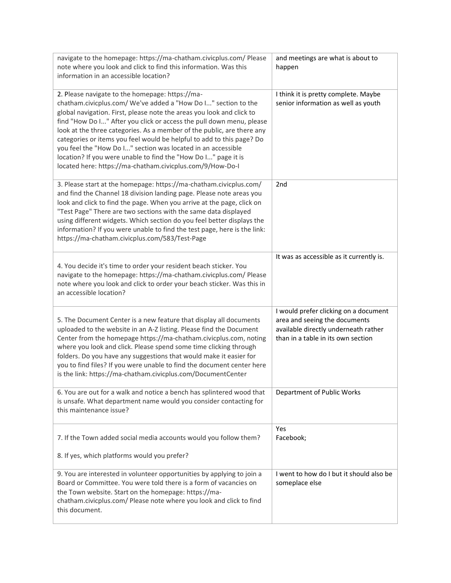| navigate to the homepage: https://ma-chatham.civicplus.com/ Please<br>note where you look and click to find this information. Was this<br>information in an accessible location?                                                                                                                                                                                                                                                                                                                                                                                                                                     | and meetings are what is about to<br>happen                                                                                                          |
|----------------------------------------------------------------------------------------------------------------------------------------------------------------------------------------------------------------------------------------------------------------------------------------------------------------------------------------------------------------------------------------------------------------------------------------------------------------------------------------------------------------------------------------------------------------------------------------------------------------------|------------------------------------------------------------------------------------------------------------------------------------------------------|
| 2. Please navigate to the homepage: https://ma-<br>chatham.civicplus.com/ We've added a "How Do I" section to the<br>global navigation. First, please note the areas you look and click to<br>find "How Do I" After you click or access the pull down menu, please<br>look at the three categories. As a member of the public, are there any<br>categories or items you feel would be helpful to add to this page? Do<br>you feel the "How Do I" section was located in an accessible<br>location? If you were unable to find the "How Do I" page it is<br>located here: https://ma-chatham.civicplus.com/9/How-Do-I | I think it is pretty complete. Maybe<br>senior information as well as youth                                                                          |
| 3. Please start at the homepage: https://ma-chatham.civicplus.com/<br>and find the Channel 18 division landing page. Please note areas you<br>look and click to find the page. When you arrive at the page, click on<br>"Test Page" There are two sections with the same data displayed<br>using different widgets. Which section do you feel better displays the<br>information? If you were unable to find the test page, here is the link:<br>https://ma-chatham.civicplus.com/583/Test-Page                                                                                                                      | 2nd                                                                                                                                                  |
| 4. You decide it's time to order your resident beach sticker. You<br>navigate to the homepage: https://ma-chatham.civicplus.com/ Please<br>note where you look and click to order your beach sticker. Was this in<br>an accessible location?                                                                                                                                                                                                                                                                                                                                                                         | It was as accessible as it currently is.                                                                                                             |
| 5. The Document Center is a new feature that display all documents<br>uploaded to the website in an A-Z listing. Please find the Document<br>Center from the homepage https://ma-chatham.civicplus.com, noting<br>where you look and click. Please spend some time clicking through<br>folders. Do you have any suggestions that would make it easier for<br>you to find files? If you were unable to find the document center here<br>is the link: https://ma-chatham.civicplus.com/DocumentCenter                                                                                                                  | I would prefer clicking on a document<br>area and seeing the documents<br>available directly underneath rather<br>than in a table in its own section |
| 6. You are out for a walk and notice a bench has splintered wood that<br>is unsafe. What department name would you consider contacting for<br>this maintenance issue?                                                                                                                                                                                                                                                                                                                                                                                                                                                | Department of Public Works                                                                                                                           |
| 7. If the Town added social media accounts would you follow them?<br>8. If yes, which platforms would you prefer?                                                                                                                                                                                                                                                                                                                                                                                                                                                                                                    | Yes<br>Facebook;                                                                                                                                     |
| 9. You are interested in volunteer opportunities by applying to join a<br>Board or Committee. You were told there is a form of vacancies on<br>the Town website. Start on the homepage: https://ma-<br>chatham.civicplus.com/ Please note where you look and click to find<br>this document.                                                                                                                                                                                                                                                                                                                         | I went to how do I but it should also be<br>someplace else                                                                                           |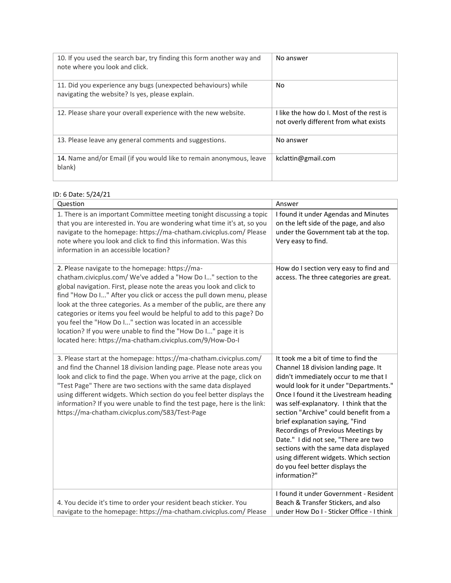| 10. If you used the search bar, try finding this form another way and<br>note where you look and click.          | No answer                                                                         |
|------------------------------------------------------------------------------------------------------------------|-----------------------------------------------------------------------------------|
| 11. Did you experience any bugs (unexpected behaviours) while<br>navigating the website? Is yes, please explain. | No                                                                                |
| 12. Please share your overall experience with the new website.                                                   | I like the how do I. Most of the rest is<br>not overly different from what exists |
| 13. Please leave any general comments and suggestions.                                                           | No answer                                                                         |
| 14. Name and/or Email (if you would like to remain anonymous, leave<br>blank)                                    | kclattin@gmail.com                                                                |

#### ID: 6 Date: 5/24/21

| Question                                                                                                                                                                                                                                                                                                                                                                                                                                                                                                                                                                                                             | Answer                                                                                                                                                                                                                                                                                                                                                                                                                                                                                                                                                |
|----------------------------------------------------------------------------------------------------------------------------------------------------------------------------------------------------------------------------------------------------------------------------------------------------------------------------------------------------------------------------------------------------------------------------------------------------------------------------------------------------------------------------------------------------------------------------------------------------------------------|-------------------------------------------------------------------------------------------------------------------------------------------------------------------------------------------------------------------------------------------------------------------------------------------------------------------------------------------------------------------------------------------------------------------------------------------------------------------------------------------------------------------------------------------------------|
| 1. There is an important Committee meeting tonight discussing a topic<br>that you are interested in. You are wondering what time it's at, so you<br>navigate to the homepage: https://ma-chatham.civicplus.com/ Please<br>note where you look and click to find this information. Was this<br>information in an accessible location?                                                                                                                                                                                                                                                                                 | I found it under Agendas and Minutes<br>on the left side of the page, and also<br>under the Government tab at the top.<br>Very easy to find.                                                                                                                                                                                                                                                                                                                                                                                                          |
| 2. Please navigate to the homepage: https://ma-<br>chatham.civicplus.com/ We've added a "How Do I" section to the<br>global navigation. First, please note the areas you look and click to<br>find "How Do I" After you click or access the pull down menu, please<br>look at the three categories. As a member of the public, are there any<br>categories or items you feel would be helpful to add to this page? Do<br>you feel the "How Do I" section was located in an accessible<br>location? If you were unable to find the "How Do I" page it is<br>located here: https://ma-chatham.civicplus.com/9/How-Do-I | How do I section very easy to find and<br>access. The three categories are great.                                                                                                                                                                                                                                                                                                                                                                                                                                                                     |
| 3. Please start at the homepage: https://ma-chatham.civicplus.com/<br>and find the Channel 18 division landing page. Please note areas you<br>look and click to find the page. When you arrive at the page, click on<br>"Test Page" There are two sections with the same data displayed<br>using different widgets. Which section do you feel better displays the<br>information? If you were unable to find the test page, here is the link:<br>https://ma-chatham.civicplus.com/583/Test-Page                                                                                                                      | It took me a bit of time to find the<br>Channel 18 division landing page. It<br>didn't immediately occur to me that I<br>would look for it under "Departments."<br>Once I found it the Livestream heading<br>was self-explanatory. I think that the<br>section "Archive" could benefit from a<br>brief explanation saying, "Find<br>Recordings of Previous Meetings by<br>Date." I did not see, "There are two<br>sections with the same data displayed<br>using different widgets. Which section<br>do you feel better displays the<br>information?" |
| 4. You decide it's time to order your resident beach sticker. You<br>navigate to the homepage: https://ma-chatham.civicplus.com/ Please                                                                                                                                                                                                                                                                                                                                                                                                                                                                              | I found it under Government - Resident<br>Beach & Transfer Stickers, and also<br>under How Do I - Sticker Office - I think                                                                                                                                                                                                                                                                                                                                                                                                                            |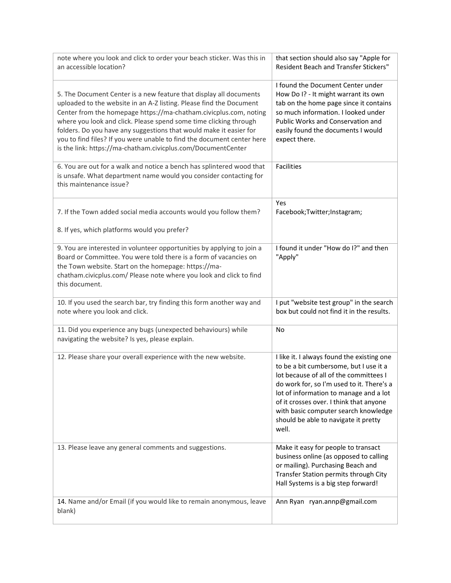| note where you look and click to order your beach sticker. Was this in<br>an accessible location?                                                                                                                                                                                                                                                                                                                                                                                                   | that section should also say "Apple for<br>Resident Beach and Transfer Stickers"                                                                                                                                                                                                                                                                          |
|-----------------------------------------------------------------------------------------------------------------------------------------------------------------------------------------------------------------------------------------------------------------------------------------------------------------------------------------------------------------------------------------------------------------------------------------------------------------------------------------------------|-----------------------------------------------------------------------------------------------------------------------------------------------------------------------------------------------------------------------------------------------------------------------------------------------------------------------------------------------------------|
| 5. The Document Center is a new feature that display all documents<br>uploaded to the website in an A-Z listing. Please find the Document<br>Center from the homepage https://ma-chatham.civicplus.com, noting<br>where you look and click. Please spend some time clicking through<br>folders. Do you have any suggestions that would make it easier for<br>you to find files? If you were unable to find the document center here<br>is the link: https://ma-chatham.civicplus.com/DocumentCenter | I found the Document Center under<br>How Do I? - It might warrant its own<br>tab on the home page since it contains<br>so much information. I looked under<br>Public Works and Conservation and<br>easily found the documents I would<br>expect there.                                                                                                    |
| 6. You are out for a walk and notice a bench has splintered wood that<br>is unsafe. What department name would you consider contacting for<br>this maintenance issue?                                                                                                                                                                                                                                                                                                                               | <b>Facilities</b>                                                                                                                                                                                                                                                                                                                                         |
| 7. If the Town added social media accounts would you follow them?<br>8. If yes, which platforms would you prefer?                                                                                                                                                                                                                                                                                                                                                                                   | Yes<br>Facebook;Twitter;Instagram;                                                                                                                                                                                                                                                                                                                        |
|                                                                                                                                                                                                                                                                                                                                                                                                                                                                                                     |                                                                                                                                                                                                                                                                                                                                                           |
| 9. You are interested in volunteer opportunities by applying to join a<br>Board or Committee. You were told there is a form of vacancies on<br>the Town website. Start on the homepage: https://ma-<br>chatham.civicplus.com/ Please note where you look and click to find<br>this document.                                                                                                                                                                                                        | I found it under "How do I?" and then<br>"Apply"                                                                                                                                                                                                                                                                                                          |
| 10. If you used the search bar, try finding this form another way and<br>note where you look and click.                                                                                                                                                                                                                                                                                                                                                                                             | I put "website test group" in the search<br>box but could not find it in the results.                                                                                                                                                                                                                                                                     |
| 11. Did you experience any bugs (unexpected behaviours) while<br>navigating the website? Is yes, please explain.                                                                                                                                                                                                                                                                                                                                                                                    | No                                                                                                                                                                                                                                                                                                                                                        |
| 12. Please share your overall experience with the new website.                                                                                                                                                                                                                                                                                                                                                                                                                                      | I like it. I always found the existing one<br>to be a bit cumbersome, but I use it a<br>lot because of all of the committees I<br>do work for, so I'm used to it. There's a<br>lot of information to manage and a lot<br>of it crosses over. I think that anyone<br>with basic computer search knowledge<br>should be able to navigate it pretty<br>well. |
| 13. Please leave any general comments and suggestions.                                                                                                                                                                                                                                                                                                                                                                                                                                              | Make it easy for people to transact<br>business online (as opposed to calling<br>or mailing). Purchasing Beach and<br>Transfer Station permits through City<br>Hall Systems is a big step forward!                                                                                                                                                        |
| 14. Name and/or Email (if you would like to remain anonymous, leave<br>blank)                                                                                                                                                                                                                                                                                                                                                                                                                       | Ann Ryan ryan.annp@gmail.com                                                                                                                                                                                                                                                                                                                              |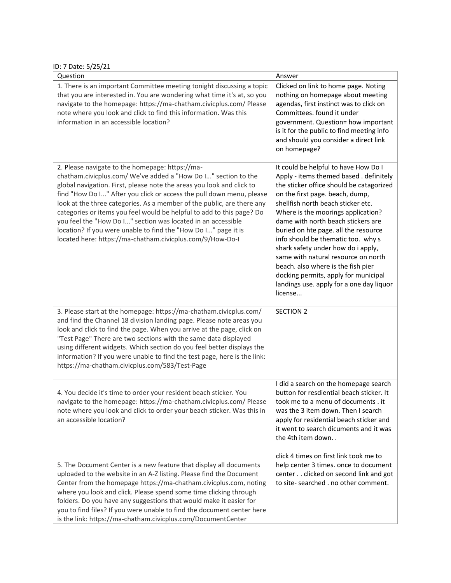ID: 7 Date: 5/25/21

| D. 1 Date. J/2J/21                                                                                                                                                                                                                                                                                                                                                                                                                                                                                                                                                                                                   |                                                                                                                                                                                                                                                                                                                                                                                                                                                                                                                                                                                  |
|----------------------------------------------------------------------------------------------------------------------------------------------------------------------------------------------------------------------------------------------------------------------------------------------------------------------------------------------------------------------------------------------------------------------------------------------------------------------------------------------------------------------------------------------------------------------------------------------------------------------|----------------------------------------------------------------------------------------------------------------------------------------------------------------------------------------------------------------------------------------------------------------------------------------------------------------------------------------------------------------------------------------------------------------------------------------------------------------------------------------------------------------------------------------------------------------------------------|
| Question                                                                                                                                                                                                                                                                                                                                                                                                                                                                                                                                                                                                             | Answer                                                                                                                                                                                                                                                                                                                                                                                                                                                                                                                                                                           |
| 1. There is an important Committee meeting tonight discussing a topic<br>that you are interested in. You are wondering what time it's at, so you<br>navigate to the homepage: https://ma-chatham.civicplus.com/ Please<br>note where you look and click to find this information. Was this<br>information in an accessible location?                                                                                                                                                                                                                                                                                 | Clicked on link to home page. Noting<br>nothing on homepage about meeting<br>agendas, first instinct was to click on<br>Committees. found it under<br>government. Question= how important<br>is it for the public to find meeting info<br>and should you consider a direct link<br>on homepage?                                                                                                                                                                                                                                                                                  |
| 2. Please navigate to the homepage: https://ma-<br>chatham.civicplus.com/ We've added a "How Do I" section to the<br>global navigation. First, please note the areas you look and click to<br>find "How Do I" After you click or access the pull down menu, please<br>look at the three categories. As a member of the public, are there any<br>categories or items you feel would be helpful to add to this page? Do<br>you feel the "How Do I" section was located in an accessible<br>location? If you were unable to find the "How Do I" page it is<br>located here: https://ma-chatham.civicplus.com/9/How-Do-I | It could be helpful to have How Do I<br>Apply - items themed based . definitely<br>the sticker office should be catagorized<br>on the first page. beach, dump,<br>shellfish north beach sticker etc.<br>Where is the moorings application?<br>dame with north beach stickers are<br>buried on hte page. all the resource<br>info should be thematic too. why s<br>shark safety under how do i apply,<br>same with natural resource on north<br>beach. also where is the fish pier<br>docking permits, apply for municipal<br>landings use. apply for a one day liquor<br>license |
| 3. Please start at the homepage: https://ma-chatham.civicplus.com/<br>and find the Channel 18 division landing page. Please note areas you<br>look and click to find the page. When you arrive at the page, click on<br>"Test Page" There are two sections with the same data displayed<br>using different widgets. Which section do you feel better displays the<br>information? If you were unable to find the test page, here is the link:<br>https://ma-chatham.civicplus.com/583/Test-Page                                                                                                                      | <b>SECTION 2</b>                                                                                                                                                                                                                                                                                                                                                                                                                                                                                                                                                                 |
| 4. You decide it's time to order your resident beach sticker. You<br>navigate to the homepage: https://ma-chatham.civicplus.com/ Please<br>note where you look and click to order your beach sticker. Was this in<br>an accessible location?                                                                                                                                                                                                                                                                                                                                                                         | I did a search on the homepage search<br>button for resdiential beach sticker. It<br>took me to a menu of documents . it<br>was the 3 item down. Then I search<br>apply for residential beach sticker and<br>it went to search dicuments and it was<br>the 4th item down                                                                                                                                                                                                                                                                                                         |
| 5. The Document Center is a new feature that display all documents<br>uploaded to the website in an A-Z listing. Please find the Document<br>Center from the homepage https://ma-chatham.civicplus.com, noting<br>where you look and click. Please spend some time clicking through<br>folders. Do you have any suggestions that would make it easier for<br>you to find files? If you were unable to find the document center here<br>is the link: https://ma-chatham.civicplus.com/DocumentCenter                                                                                                                  | click 4 times on first link took me to<br>help center 3 times. once to document<br>center clicked on second link and got<br>to site- searched . no other comment.                                                                                                                                                                                                                                                                                                                                                                                                                |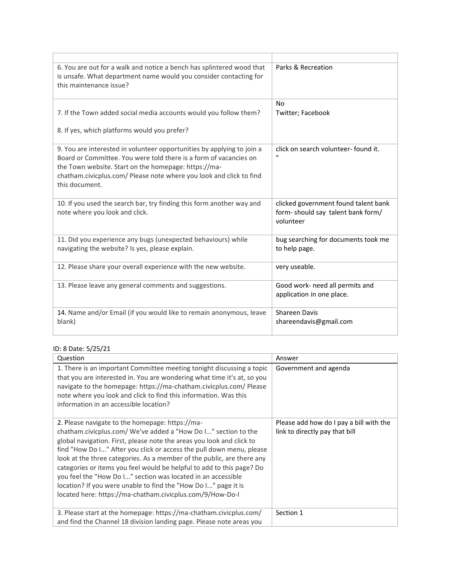| 6. You are out for a walk and notice a bench has splintered wood that<br>is unsafe. What department name would you consider contacting for<br>this maintenance issue?                                                                                                                        | Parks & Recreation                                                                     |
|----------------------------------------------------------------------------------------------------------------------------------------------------------------------------------------------------------------------------------------------------------------------------------------------|----------------------------------------------------------------------------------------|
| 7. If the Town added social media accounts would you follow them?<br>8. If yes, which platforms would you prefer?                                                                                                                                                                            | <b>No</b><br>Twitter; Facebook                                                         |
| 9. You are interested in volunteer opportunities by applying to join a<br>Board or Committee. You were told there is a form of vacancies on<br>the Town website. Start on the homepage: https://ma-<br>chatham.civicplus.com/ Please note where you look and click to find<br>this document. | click on search volunteer-found it.                                                    |
| 10. If you used the search bar, try finding this form another way and<br>note where you look and click.                                                                                                                                                                                      | clicked government found talent bank<br>form-should say talent bank form/<br>volunteer |
| 11. Did you experience any bugs (unexpected behaviours) while<br>navigating the website? Is yes, please explain.                                                                                                                                                                             | bug searching for documents took me<br>to help page.                                   |
| 12. Please share your overall experience with the new website.                                                                                                                                                                                                                               | very useable.                                                                          |
| 13. Please leave any general comments and suggestions.                                                                                                                                                                                                                                       | Good work- need all permits and<br>application in one place.                           |
| 14. Name and/or Email (if you would like to remain anonymous, leave<br>blank)                                                                                                                                                                                                                | Shareen Davis<br>shareendavis@gmail.com                                                |

## ID: 8 Date: 5/25/21

| Question                                                                                                                                                                                                                                                                                                                                                                                                                                                                                                                                                                                                             | Answer                                                                    |
|----------------------------------------------------------------------------------------------------------------------------------------------------------------------------------------------------------------------------------------------------------------------------------------------------------------------------------------------------------------------------------------------------------------------------------------------------------------------------------------------------------------------------------------------------------------------------------------------------------------------|---------------------------------------------------------------------------|
| 1. There is an important Committee meeting tonight discussing a topic<br>that you are interested in. You are wondering what time it's at, so you<br>navigate to the homepage: https://ma-chatham.civicplus.com/ Please<br>note where you look and click to find this information. Was this<br>information in an accessible location?                                                                                                                                                                                                                                                                                 | Government and agenda                                                     |
| 2. Please navigate to the homepage: https://ma-<br>chatham.civicplus.com/ We've added a "How Do I" section to the<br>global navigation. First, please note the areas you look and click to<br>find "How Do I" After you click or access the pull down menu, please<br>look at the three categories. As a member of the public, are there any<br>categories or items you feel would be helpful to add to this page? Do<br>you feel the "How Do I" section was located in an accessible<br>location? If you were unable to find the "How Do I" page it is<br>located here: https://ma-chatham.civicplus.com/9/How-Do-I | Please add how do I pay a bill with the<br>link to directly pay that bill |
| 3. Please start at the homepage: https://ma-chatham.civicplus.com/<br>and find the Channel 18 division landing page. Please note areas you                                                                                                                                                                                                                                                                                                                                                                                                                                                                           | Section 1                                                                 |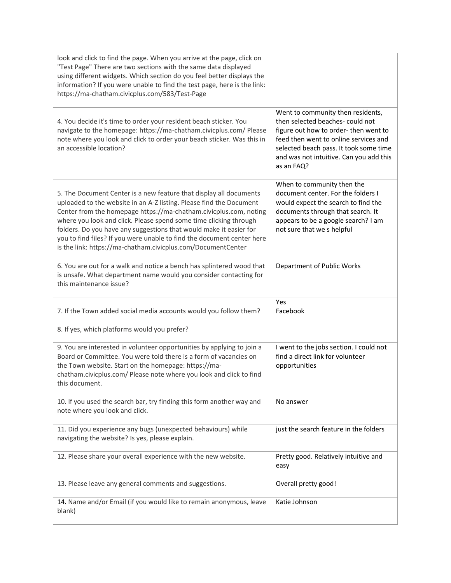| look and click to find the page. When you arrive at the page, click on<br>"Test Page" There are two sections with the same data displayed<br>using different widgets. Which section do you feel better displays the<br>information? If you were unable to find the test page, here is the link:<br>https://ma-chatham.civicplus.com/583/Test-Page                                                                                                                                                   |                                                                                                                                                                                                                                                           |
|-----------------------------------------------------------------------------------------------------------------------------------------------------------------------------------------------------------------------------------------------------------------------------------------------------------------------------------------------------------------------------------------------------------------------------------------------------------------------------------------------------|-----------------------------------------------------------------------------------------------------------------------------------------------------------------------------------------------------------------------------------------------------------|
| 4. You decide it's time to order your resident beach sticker. You<br>navigate to the homepage: https://ma-chatham.civicplus.com/ Please<br>note where you look and click to order your beach sticker. Was this in<br>an accessible location?                                                                                                                                                                                                                                                        | Went to community then residents,<br>then selected beaches- could not<br>figure out how to order-then went to<br>feed then went to online services and<br>selected beach pass. It took some time<br>and was not intuitive. Can you add this<br>as an FAQ? |
| 5. The Document Center is a new feature that display all documents<br>uploaded to the website in an A-Z listing. Please find the Document<br>Center from the homepage https://ma-chatham.civicplus.com, noting<br>where you look and click. Please spend some time clicking through<br>folders. Do you have any suggestions that would make it easier for<br>you to find files? If you were unable to find the document center here<br>is the link: https://ma-chatham.civicplus.com/DocumentCenter | When to community then the<br>document center. For the folders I<br>would expect the search to find the<br>documents through that search. It<br>appears to be a google search? I am<br>not sure that we s helpful                                         |
| 6. You are out for a walk and notice a bench has splintered wood that<br>is unsafe. What department name would you consider contacting for<br>this maintenance issue?                                                                                                                                                                                                                                                                                                                               | Department of Public Works                                                                                                                                                                                                                                |
| 7. If the Town added social media accounts would you follow them?<br>8. If yes, which platforms would you prefer?                                                                                                                                                                                                                                                                                                                                                                                   | Yes<br>Facebook                                                                                                                                                                                                                                           |
| 9. You are interested in volunteer opportunities by applying to join a<br>Board or Committee. You were told there is a form of vacancies on<br>the Town website. Start on the homepage: https://ma-<br>chatham.civicplus.com/ Please note where you look and click to find<br>this document.                                                                                                                                                                                                        | I went to the jobs section. I could not<br>find a direct link for volunteer<br>opportunities                                                                                                                                                              |
| 10. If you used the search bar, try finding this form another way and<br>note where you look and click.                                                                                                                                                                                                                                                                                                                                                                                             | No answer                                                                                                                                                                                                                                                 |
| 11. Did you experience any bugs (unexpected behaviours) while<br>navigating the website? Is yes, please explain.                                                                                                                                                                                                                                                                                                                                                                                    | just the search feature in the folders                                                                                                                                                                                                                    |
| 12. Please share your overall experience with the new website.                                                                                                                                                                                                                                                                                                                                                                                                                                      | Pretty good. Relatively intuitive and<br>easy                                                                                                                                                                                                             |
| 13. Please leave any general comments and suggestions.                                                                                                                                                                                                                                                                                                                                                                                                                                              | Overall pretty good!                                                                                                                                                                                                                                      |
| 14. Name and/or Email (if you would like to remain anonymous, leave<br>blank)                                                                                                                                                                                                                                                                                                                                                                                                                       | Katie Johnson                                                                                                                                                                                                                                             |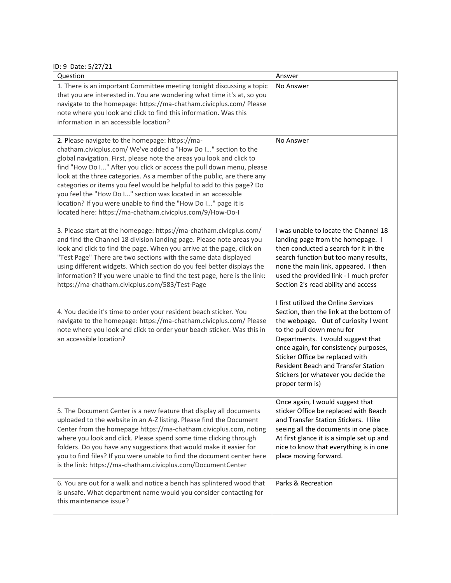ID: 9 Date: 5/27/21

| Question                                                                                                                                                                                                                                                                                                                                                                                                                                                                                                                                                                                                             | Answer                                                                                                                                                                                                                                                                                                                                                                         |
|----------------------------------------------------------------------------------------------------------------------------------------------------------------------------------------------------------------------------------------------------------------------------------------------------------------------------------------------------------------------------------------------------------------------------------------------------------------------------------------------------------------------------------------------------------------------------------------------------------------------|--------------------------------------------------------------------------------------------------------------------------------------------------------------------------------------------------------------------------------------------------------------------------------------------------------------------------------------------------------------------------------|
| 1. There is an important Committee meeting tonight discussing a topic<br>that you are interested in. You are wondering what time it's at, so you<br>navigate to the homepage: https://ma-chatham.civicplus.com/ Please<br>note where you look and click to find this information. Was this<br>information in an accessible location?                                                                                                                                                                                                                                                                                 | No Answer                                                                                                                                                                                                                                                                                                                                                                      |
| 2. Please navigate to the homepage: https://ma-<br>chatham.civicplus.com/ We've added a "How Do I" section to the<br>global navigation. First, please note the areas you look and click to<br>find "How Do I" After you click or access the pull down menu, please<br>look at the three categories. As a member of the public, are there any<br>categories or items you feel would be helpful to add to this page? Do<br>you feel the "How Do I" section was located in an accessible<br>location? If you were unable to find the "How Do I" page it is<br>located here: https://ma-chatham.civicplus.com/9/How-Do-I | No Answer                                                                                                                                                                                                                                                                                                                                                                      |
| 3. Please start at the homepage: https://ma-chatham.civicplus.com/<br>and find the Channel 18 division landing page. Please note areas you<br>look and click to find the page. When you arrive at the page, click on<br>"Test Page" There are two sections with the same data displayed<br>using different widgets. Which section do you feel better displays the<br>information? If you were unable to find the test page, here is the link:<br>https://ma-chatham.civicplus.com/583/Test-Page                                                                                                                      | I was unable to locate the Channel 18<br>landing page from the homepage. I<br>then conducted a search for it in the<br>search function but too many results,<br>none the main link, appeared. I then<br>used the provided link - I much prefer<br>Section 2's read ability and access                                                                                          |
| 4. You decide it's time to order your resident beach sticker. You<br>navigate to the homepage: https://ma-chatham.civicplus.com/ Please<br>note where you look and click to order your beach sticker. Was this in<br>an accessible location?                                                                                                                                                                                                                                                                                                                                                                         | I first utilized the Online Services<br>Section, then the link at the bottom of<br>the webpage. Out of curiosity I went<br>to the pull down menu for<br>Departments. I would suggest that<br>once again, for consistency purposes,<br>Sticker Office be replaced with<br><b>Resident Beach and Transfer Station</b><br>Stickers (or whatever you decide the<br>proper term is) |
| 5. The Document Center is a new feature that display all documents<br>uploaded to the website in an A-Z listing. Please find the Document<br>Center from the homepage https://ma-chatham.civicplus.com, noting<br>where you look and click. Please spend some time clicking through<br>folders. Do you have any suggestions that would make it easier for<br>you to find files? If you were unable to find the document center here<br>is the link: https://ma-chatham.civicplus.com/DocumentCenter                                                                                                                  | Once again, I would suggest that<br>sticker Office be replaced with Beach<br>and Transfer Station Stickers. I like<br>seeing all the documents in one place.<br>At first glance it is a simple set up and<br>nice to know that everything is in one<br>place moving forward.                                                                                                   |
| 6. You are out for a walk and notice a bench has splintered wood that<br>is unsafe. What department name would you consider contacting for<br>this maintenance issue?                                                                                                                                                                                                                                                                                                                                                                                                                                                | Parks & Recreation                                                                                                                                                                                                                                                                                                                                                             |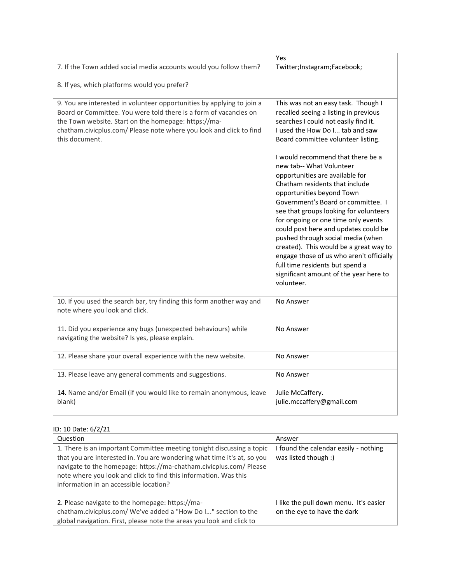| 7. If the Town added social media accounts would you follow them?<br>8. If yes, which platforms would you prefer?                                                                                                                                                                            | Yes<br>Twitter;Instagram;Facebook;                                                                                                                                                                                                                                                                                                                                                                                                                                                                                                                                                                                                                                                                                                                    |
|----------------------------------------------------------------------------------------------------------------------------------------------------------------------------------------------------------------------------------------------------------------------------------------------|-------------------------------------------------------------------------------------------------------------------------------------------------------------------------------------------------------------------------------------------------------------------------------------------------------------------------------------------------------------------------------------------------------------------------------------------------------------------------------------------------------------------------------------------------------------------------------------------------------------------------------------------------------------------------------------------------------------------------------------------------------|
| 9. You are interested in volunteer opportunities by applying to join a<br>Board or Committee. You were told there is a form of vacancies on<br>the Town website. Start on the homepage: https://ma-<br>chatham.civicplus.com/ Please note where you look and click to find<br>this document. | This was not an easy task. Though I<br>recalled seeing a listing in previous<br>searches I could not easily find it.<br>I used the How Do I tab and saw<br>Board committee volunteer listing.<br>I would recommend that there be a<br>new tab-- What Volunteer<br>opportunities are available for<br>Chatham residents that include<br>opportunities beyond Town<br>Government's Board or committee. I<br>see that groups looking for volunteers<br>for ongoing or one time only events<br>could post here and updates could be<br>pushed through social media (when<br>created). This would be a great way to<br>engage those of us who aren't officially<br>full time residents but spend a<br>significant amount of the year here to<br>volunteer. |
| 10. If you used the search bar, try finding this form another way and<br>note where you look and click.                                                                                                                                                                                      | No Answer                                                                                                                                                                                                                                                                                                                                                                                                                                                                                                                                                                                                                                                                                                                                             |
| 11. Did you experience any bugs (unexpected behaviours) while<br>navigating the website? Is yes, please explain.                                                                                                                                                                             | No Answer                                                                                                                                                                                                                                                                                                                                                                                                                                                                                                                                                                                                                                                                                                                                             |
| 12. Please share your overall experience with the new website.                                                                                                                                                                                                                               | No Answer                                                                                                                                                                                                                                                                                                                                                                                                                                                                                                                                                                                                                                                                                                                                             |
| 13. Please leave any general comments and suggestions.                                                                                                                                                                                                                                       | No Answer                                                                                                                                                                                                                                                                                                                                                                                                                                                                                                                                                                                                                                                                                                                                             |
| 14. Name and/or Email (if you would like to remain anonymous, leave<br>blank)                                                                                                                                                                                                                | Julie McCaffery.<br>julie.mccaffery@gmail.com                                                                                                                                                                                                                                                                                                                                                                                                                                                                                                                                                                                                                                                                                                         |

# ID: 10 Date: 6/2/21

| Question                                                                                                                                                                                                                                                                                                                             | Answer                                                                |
|--------------------------------------------------------------------------------------------------------------------------------------------------------------------------------------------------------------------------------------------------------------------------------------------------------------------------------------|-----------------------------------------------------------------------|
| 1. There is an important Committee meeting tonight discussing a topic<br>that you are interested in. You are wondering what time it's at, so you<br>navigate to the homepage: https://ma-chatham.civicplus.com/ Please<br>note where you look and click to find this information. Was this<br>information in an accessible location? | I found the calendar easily - nothing<br>was listed though :)         |
| 2. Please navigate to the homepage: https://ma-<br>chatham.civicplus.com/ We've added a "How Do I" section to the<br>global navigation. First, please note the areas you look and click to                                                                                                                                           | I like the pull down menu. It's easier<br>on the eye to have the dark |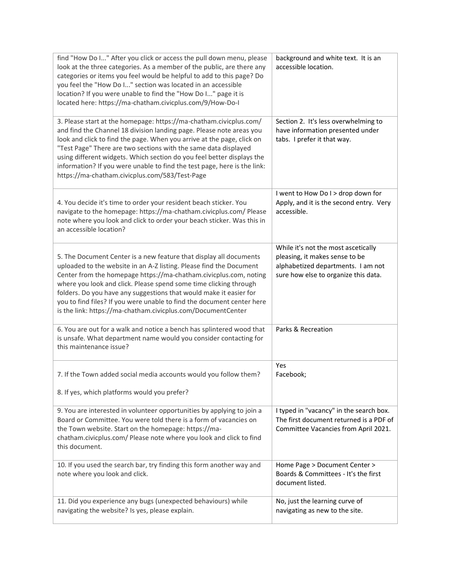| find "How Do I" After you click or access the pull down menu, please<br>look at the three categories. As a member of the public, are there any<br>categories or items you feel would be helpful to add to this page? Do<br>you feel the "How Do I" section was located in an accessible<br>location? If you were unable to find the "How Do I" page it is<br>located here: https://ma-chatham.civicplus.com/9/How-Do-I                                                                              | background and white text. It is an<br>accessible location.                                                                                         |
|-----------------------------------------------------------------------------------------------------------------------------------------------------------------------------------------------------------------------------------------------------------------------------------------------------------------------------------------------------------------------------------------------------------------------------------------------------------------------------------------------------|-----------------------------------------------------------------------------------------------------------------------------------------------------|
| 3. Please start at the homepage: https://ma-chatham.civicplus.com/<br>and find the Channel 18 division landing page. Please note areas you<br>look and click to find the page. When you arrive at the page, click on<br>"Test Page" There are two sections with the same data displayed<br>using different widgets. Which section do you feel better displays the<br>information? If you were unable to find the test page, here is the link:<br>https://ma-chatham.civicplus.com/583/Test-Page     | Section 2. It's less overwhelming to<br>have information presented under<br>tabs. I prefer it that way.                                             |
| 4. You decide it's time to order your resident beach sticker. You<br>navigate to the homepage: https://ma-chatham.civicplus.com/ Please<br>note where you look and click to order your beach sticker. Was this in<br>an accessible location?                                                                                                                                                                                                                                                        | I went to How Do I > drop down for<br>Apply, and it is the second entry. Very<br>accessible.                                                        |
| 5. The Document Center is a new feature that display all documents<br>uploaded to the website in an A-Z listing. Please find the Document<br>Center from the homepage https://ma-chatham.civicplus.com, noting<br>where you look and click. Please spend some time clicking through<br>folders. Do you have any suggestions that would make it easier for<br>you to find files? If you were unable to find the document center here<br>is the link: https://ma-chatham.civicplus.com/DocumentCenter | While it's not the most ascetically<br>pleasing, it makes sense to be<br>alphabetized departments. I am not<br>sure how else to organize this data. |
| 6. You are out for a walk and notice a bench has splintered wood that<br>is unsafe. What department name would you consider contacting for<br>this maintenance issue?                                                                                                                                                                                                                                                                                                                               | Parks & Recreation                                                                                                                                  |
| 7. If the Town added social media accounts would you follow them?<br>8. If yes, which platforms would you prefer?                                                                                                                                                                                                                                                                                                                                                                                   | Yes<br>Facebook;                                                                                                                                    |
| 9. You are interested in volunteer opportunities by applying to join a<br>Board or Committee. You were told there is a form of vacancies on<br>the Town website. Start on the homepage: https://ma-<br>chatham.civicplus.com/ Please note where you look and click to find<br>this document.                                                                                                                                                                                                        | I typed in "vacancy" in the search box.<br>The first document returned is a PDF of<br>Committee Vacancies from April 2021.                          |
| 10. If you used the search bar, try finding this form another way and<br>note where you look and click.                                                                                                                                                                                                                                                                                                                                                                                             | Home Page > Document Center ><br>Boards & Committees - It's the first<br>document listed.                                                           |
| 11. Did you experience any bugs (unexpected behaviours) while<br>navigating the website? Is yes, please explain.                                                                                                                                                                                                                                                                                                                                                                                    | No, just the learning curve of<br>navigating as new to the site.                                                                                    |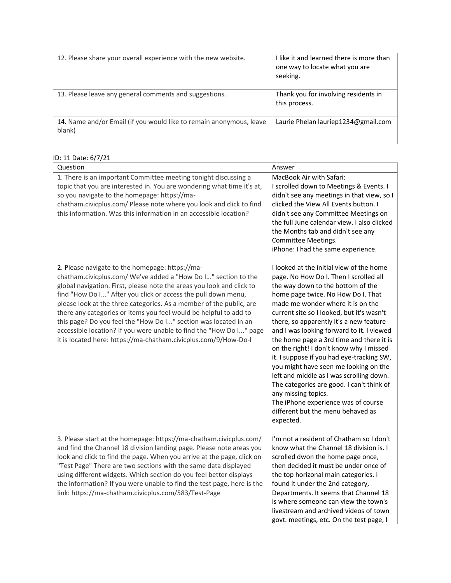| 12. Please share your overall experience with the new website.                | I like it and learned there is more than<br>one way to locate what you are<br>seeking. |
|-------------------------------------------------------------------------------|----------------------------------------------------------------------------------------|
| 13. Please leave any general comments and suggestions.                        | Thank you for involving residents in<br>this process.                                  |
| 14. Name and/or Email (if you would like to remain anonymous, leave<br>blank) | Laurie Phelan lauriep1234@gmail.com                                                    |

| ID: 11 Date: 6/7/21                                                                                                                                                                                                                                                                                                                                                                                                                                                                                                                                                                                                  |                                                                                                                                                                                                                                                                                                                                                                                                                                                                                                                                                                                                                                                                                                                               |  |
|----------------------------------------------------------------------------------------------------------------------------------------------------------------------------------------------------------------------------------------------------------------------------------------------------------------------------------------------------------------------------------------------------------------------------------------------------------------------------------------------------------------------------------------------------------------------------------------------------------------------|-------------------------------------------------------------------------------------------------------------------------------------------------------------------------------------------------------------------------------------------------------------------------------------------------------------------------------------------------------------------------------------------------------------------------------------------------------------------------------------------------------------------------------------------------------------------------------------------------------------------------------------------------------------------------------------------------------------------------------|--|
| Question                                                                                                                                                                                                                                                                                                                                                                                                                                                                                                                                                                                                             | Answer                                                                                                                                                                                                                                                                                                                                                                                                                                                                                                                                                                                                                                                                                                                        |  |
| 1. There is an important Committee meeting tonight discussing a<br>topic that you are interested in. You are wondering what time it's at,<br>so you navigate to the homepage: https://ma-<br>chatham.civicplus.com/ Please note where you look and click to find<br>this information. Was this information in an accessible location?                                                                                                                                                                                                                                                                                | MacBook Air with Safari:<br>I scrolled down to Meetings & Events. I<br>didn't see any meetings in that view, so I<br>clicked the View All Events button. I<br>didn't see any Committee Meetings on<br>the full June calendar view. I also clicked<br>the Months tab and didn't see any<br>Committee Meetings.<br>iPhone: I had the same experience.                                                                                                                                                                                                                                                                                                                                                                           |  |
| 2. Please navigate to the homepage: https://ma-<br>chatham.civicplus.com/ We've added a "How Do I" section to the<br>global navigation. First, please note the areas you look and click to<br>find "How Do I" After you click or access the pull down menu,<br>please look at the three categories. As a member of the public, are<br>there any categories or items you feel would be helpful to add to<br>this page? Do you feel the "How Do I" section was located in an<br>accessible location? If you were unable to find the "How Do I" page<br>it is located here: https://ma-chatham.civicplus.com/9/How-Do-I | I looked at the initial view of the home<br>page. No How Do I. Then I scrolled all<br>the way down to the bottom of the<br>home page twice. No How Do I. That<br>made me wonder where it is on the<br>current site so I looked, but it's wasn't<br>there, so apparently it's a new feature<br>and I was looking forward to it. I viewed<br>the home page a 3rd time and there it is<br>on the right! I don't know why I missed<br>it. I suppose if you had eye-tracking SW,<br>you might have seen me looking on the<br>left and middle as I was scrolling down.<br>The categories are good. I can't think of<br>any missing topics.<br>The iPhone experience was of course<br>different but the menu behaved as<br>expected. |  |
| 3. Please start at the homepage: https://ma-chatham.civicplus.com/<br>and find the Channel 18 division landing page. Please note areas you<br>look and click to find the page. When you arrive at the page, click on<br>"Test Page" There are two sections with the same data displayed<br>using different widgets. Which section do you feel better displays<br>the information? If you were unable to find the test page, here is the<br>link: https://ma-chatham.civicplus.com/583/Test-Page                                                                                                                      | I'm not a resident of Chatham so I don't<br>know what the Channel 18 division is. I<br>scrolled dwon the home page once,<br>then decided it must be under once of<br>the top horizonal main categories. I<br>found it under the 2nd category,<br>Departments. It seems that Channel 18<br>is where someone can view the town's<br>livestream and archived videos of town<br>govt. meetings, etc. On the test page, I                                                                                                                                                                                                                                                                                                          |  |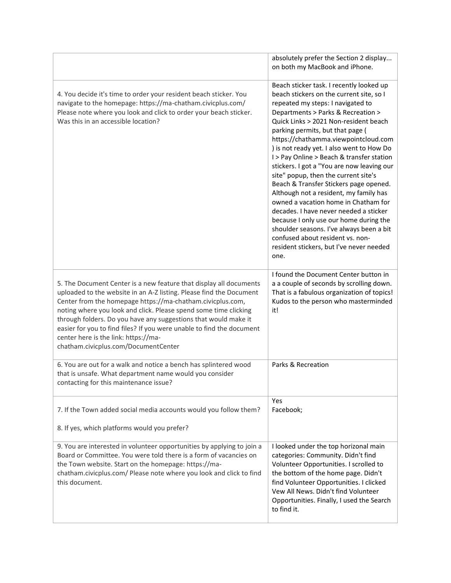|                                                                                                                                                                                                                                                                                                                                                                                                                                                                                                         | absolutely prefer the Section 2 display<br>on both my MacBook and iPhone.                                                                                                                                                                                                                                                                                                                                                                                                                                                                                                                                                                                                                                                                                                                                                |
|---------------------------------------------------------------------------------------------------------------------------------------------------------------------------------------------------------------------------------------------------------------------------------------------------------------------------------------------------------------------------------------------------------------------------------------------------------------------------------------------------------|--------------------------------------------------------------------------------------------------------------------------------------------------------------------------------------------------------------------------------------------------------------------------------------------------------------------------------------------------------------------------------------------------------------------------------------------------------------------------------------------------------------------------------------------------------------------------------------------------------------------------------------------------------------------------------------------------------------------------------------------------------------------------------------------------------------------------|
| 4. You decide it's time to order your resident beach sticker. You<br>navigate to the homepage: https://ma-chatham.civicplus.com/<br>Please note where you look and click to order your beach sticker.<br>Was this in an accessible location?                                                                                                                                                                                                                                                            | Beach sticker task. I recently looked up<br>beach stickers on the current site, so I<br>repeated my steps: I navigated to<br>Departments > Parks & Recreation ><br>Quick Links > 2021 Non-resident beach<br>parking permits, but that page (<br>https://chathamma.viewpointcloud.com<br>) is not ready yet. I also went to How Do<br>I > Pay Online > Beach & transfer station<br>stickers. I got a "You are now leaving our<br>site" popup, then the current site's<br>Beach & Transfer Stickers page opened.<br>Although not a resident, my family has<br>owned a vacation home in Chatham for<br>decades. I have never needed a sticker<br>because I only use our home during the<br>shoulder seasons. I've always been a bit<br>confused about resident vs. non-<br>resident stickers, but I've never needed<br>one. |
| 5. The Document Center is a new feature that display all documents<br>uploaded to the website in an A-Z listing. Please find the Document<br>Center from the homepage https://ma-chatham.civicplus.com,<br>noting where you look and click. Please spend some time clicking<br>through folders. Do you have any suggestions that would make it<br>easier for you to find files? If you were unable to find the document<br>center here is the link: https://ma-<br>chatham.civicplus.com/DocumentCenter | I found the Document Center button in<br>a a couple of seconds by scrolling down.<br>That is a fabulous organization of topics!<br>Kudos to the person who masterminded<br>it!                                                                                                                                                                                                                                                                                                                                                                                                                                                                                                                                                                                                                                           |
| 6. You are out for a walk and notice a bench has splintered wood<br>that is unsafe. What department name would you consider<br>contacting for this maintenance issue?                                                                                                                                                                                                                                                                                                                                   | Parks & Recreation                                                                                                                                                                                                                                                                                                                                                                                                                                                                                                                                                                                                                                                                                                                                                                                                       |
| 7. If the Town added social media accounts would you follow them?<br>8. If yes, which platforms would you prefer?                                                                                                                                                                                                                                                                                                                                                                                       | Yes<br>Facebook;                                                                                                                                                                                                                                                                                                                                                                                                                                                                                                                                                                                                                                                                                                                                                                                                         |
|                                                                                                                                                                                                                                                                                                                                                                                                                                                                                                         |                                                                                                                                                                                                                                                                                                                                                                                                                                                                                                                                                                                                                                                                                                                                                                                                                          |
| 9. You are interested in volunteer opportunities by applying to join a<br>Board or Committee. You were told there is a form of vacancies on<br>the Town website. Start on the homepage: https://ma-<br>chatham.civicplus.com/ Please note where you look and click to find<br>this document.                                                                                                                                                                                                            | I looked under the top horizonal main<br>categories: Community. Didn't find<br>Volunteer Opportunities. I scrolled to<br>the bottom of the home page. Didn't<br>find Volunteer Opportunities. I clicked<br>Vew All News. Didn't find Volunteer<br>Opportunities. Finally, I used the Search<br>to find it.                                                                                                                                                                                                                                                                                                                                                                                                                                                                                                               |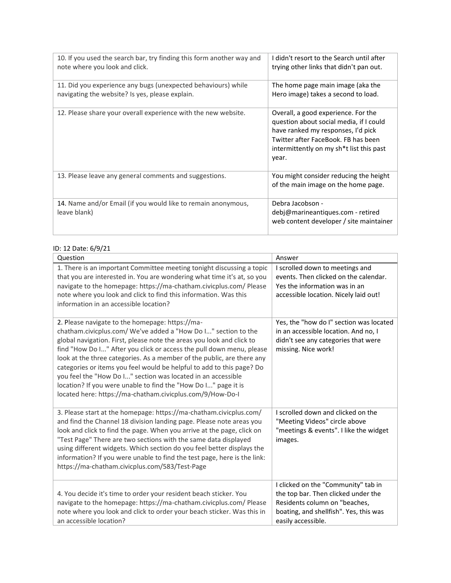| 10. If you used the search bar, try finding this form another way and<br>note where you look and click.          | I didn't resort to the Search until after<br>trying other links that didn't pan out.                                                                                                                             |
|------------------------------------------------------------------------------------------------------------------|------------------------------------------------------------------------------------------------------------------------------------------------------------------------------------------------------------------|
| 11. Did you experience any bugs (unexpected behaviours) while<br>navigating the website? Is yes, please explain. | The home page main image (aka the<br>Hero image) takes a second to load.                                                                                                                                         |
| 12. Please share your overall experience with the new website.                                                   | Overall, a good experience. For the<br>question about social media, if I could<br>have ranked my responses, I'd pick<br>Twitter after FaceBook. FB has been<br>intermittently on my sh*t list this past<br>year. |
| 13. Please leave any general comments and suggestions.                                                           | You might consider reducing the height<br>of the main image on the home page.                                                                                                                                    |
| 14. Name and/or Email (if you would like to remain anonymous,<br>leave blank)                                    | Debra Jacobson -<br>debj@marineantiques.com - retired<br>web content developer / site maintainer                                                                                                                 |

#### ID: 12 Date: 6/9/21

| Question                                                                                                                                                                                                                                                                                                                                                                                                                                                                                                                                                                                                             | Answer                                                                                                                                                                      |
|----------------------------------------------------------------------------------------------------------------------------------------------------------------------------------------------------------------------------------------------------------------------------------------------------------------------------------------------------------------------------------------------------------------------------------------------------------------------------------------------------------------------------------------------------------------------------------------------------------------------|-----------------------------------------------------------------------------------------------------------------------------------------------------------------------------|
| 1. There is an important Committee meeting tonight discussing a topic<br>that you are interested in. You are wondering what time it's at, so you<br>navigate to the homepage: https://ma-chatham.civicplus.com/ Please<br>note where you look and click to find this information. Was this<br>information in an accessible location?                                                                                                                                                                                                                                                                                 | I scrolled down to meetings and<br>events. Then clicked on the calendar.<br>Yes the information was in an<br>accessible location. Nicely laid out!                          |
| 2. Please navigate to the homepage: https://ma-<br>chatham.civicplus.com/ We've added a "How Do I" section to the<br>global navigation. First, please note the areas you look and click to<br>find "How Do I" After you click or access the pull down menu, please<br>look at the three categories. As a member of the public, are there any<br>categories or items you feel would be helpful to add to this page? Do<br>you feel the "How Do I" section was located in an accessible<br>location? If you were unable to find the "How Do I" page it is<br>located here: https://ma-chatham.civicplus.com/9/How-Do-I | Yes, the "how do I" section was located<br>in an accessible location. And no, I<br>didn't see any categories that were<br>missing. Nice work!                               |
| 3. Please start at the homepage: https://ma-chatham.civicplus.com/<br>and find the Channel 18 division landing page. Please note areas you<br>look and click to find the page. When you arrive at the page, click on<br>"Test Page" There are two sections with the same data displayed<br>using different widgets. Which section do you feel better displays the<br>information? If you were unable to find the test page, here is the link:<br>https://ma-chatham.civicplus.com/583/Test-Page                                                                                                                      | I scrolled down and clicked on the<br>"Meeting Videos" circle above<br>"meetings & events". I like the widget<br>images.                                                    |
| 4. You decide it's time to order your resident beach sticker. You<br>navigate to the homepage: https://ma-chatham.civicplus.com/ Please<br>note where you look and click to order your beach sticker. Was this in<br>an accessible location?                                                                                                                                                                                                                                                                                                                                                                         | I clicked on the "Community" tab in<br>the top bar. Then clicked under the<br>Residents column on "beaches,<br>boating, and shellfish". Yes, this was<br>easily accessible. |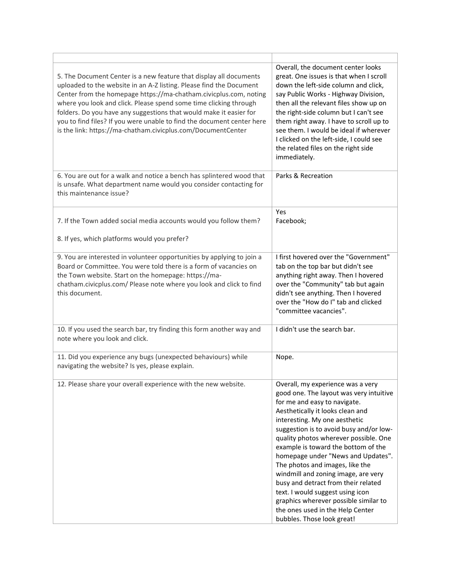| 5. The Document Center is a new feature that display all documents<br>uploaded to the website in an A-Z listing. Please find the Document<br>Center from the homepage https://ma-chatham.civicplus.com, noting<br>where you look and click. Please spend some time clicking through<br>folders. Do you have any suggestions that would make it easier for<br>you to find files? If you were unable to find the document center here<br>is the link: https://ma-chatham.civicplus.com/DocumentCenter | Overall, the document center looks<br>great. One issues is that when I scroll<br>down the left-side column and click,<br>say Public Works - Highway Division,<br>then all the relevant files show up on<br>the right-side column but I can't see<br>them right away. I have to scroll up to<br>see them. I would be ideal if wherever<br>I clicked on the left-side, I could see<br>the related files on the right side<br>immediately.                                                                                                                                                                            |
|-----------------------------------------------------------------------------------------------------------------------------------------------------------------------------------------------------------------------------------------------------------------------------------------------------------------------------------------------------------------------------------------------------------------------------------------------------------------------------------------------------|--------------------------------------------------------------------------------------------------------------------------------------------------------------------------------------------------------------------------------------------------------------------------------------------------------------------------------------------------------------------------------------------------------------------------------------------------------------------------------------------------------------------------------------------------------------------------------------------------------------------|
| 6. You are out for a walk and notice a bench has splintered wood that<br>is unsafe. What department name would you consider contacting for<br>this maintenance issue?                                                                                                                                                                                                                                                                                                                               | Parks & Recreation                                                                                                                                                                                                                                                                                                                                                                                                                                                                                                                                                                                                 |
| 7. If the Town added social media accounts would you follow them?                                                                                                                                                                                                                                                                                                                                                                                                                                   | Yes<br>Facebook;                                                                                                                                                                                                                                                                                                                                                                                                                                                                                                                                                                                                   |
| 8. If yes, which platforms would you prefer?                                                                                                                                                                                                                                                                                                                                                                                                                                                        |                                                                                                                                                                                                                                                                                                                                                                                                                                                                                                                                                                                                                    |
| 9. You are interested in volunteer opportunities by applying to join a<br>Board or Committee. You were told there is a form of vacancies on<br>the Town website. Start on the homepage: https://ma-<br>chatham.civicplus.com/ Please note where you look and click to find<br>this document.                                                                                                                                                                                                        | I first hovered over the "Government"<br>tab on the top bar but didn't see<br>anything right away. Then I hovered<br>over the "Community" tab but again<br>didn't see anything. Then I hovered<br>over the "How do I" tab and clicked<br>"committee vacancies".                                                                                                                                                                                                                                                                                                                                                    |
| 10. If you used the search bar, try finding this form another way and<br>note where you look and click.                                                                                                                                                                                                                                                                                                                                                                                             | I didn't use the search bar.                                                                                                                                                                                                                                                                                                                                                                                                                                                                                                                                                                                       |
| 11. Did you experience any bugs (unexpected behaviours) while<br>navigating the website? Is yes, please explain.                                                                                                                                                                                                                                                                                                                                                                                    | Nope.                                                                                                                                                                                                                                                                                                                                                                                                                                                                                                                                                                                                              |
| 12. Please share your overall experience with the new website.                                                                                                                                                                                                                                                                                                                                                                                                                                      | Overall, my experience was a very<br>good one. The layout was very intuitive<br>for me and easy to navigate.<br>Aesthetically it looks clean and<br>interesting. My one aesthetic<br>suggestion is to avoid busy and/or low-<br>quality photos wherever possible. One<br>example is toward the bottom of the<br>homepage under "News and Updates".<br>The photos and images, like the<br>windmill and zoning image, are very<br>busy and detract from their related<br>text. I would suggest using icon<br>graphics wherever possible similar to<br>the ones used in the Help Center<br>bubbles. Those look great! |